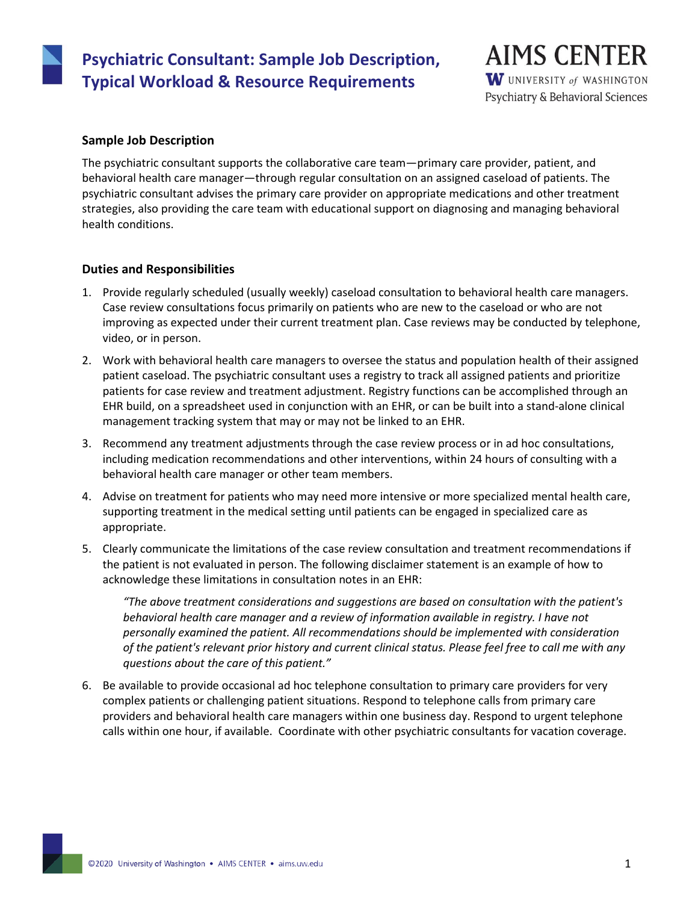# **Psychiatric Consultant: Sample Job Description, Typical Workload & Resource Requirements**

**AIMS CENTER** W UNIVERSITY of WASHINGTON Psychiatry & Behavioral Sciences

## **Sample Job Description**

The psychiatric consultant supports the collaborative care team—primary care provider, patient, and behavioral health care manager—through regular consultation on an assigned caseload of patients. The psychiatric consultant advises the primary care provider on appropriate medications and other treatment strategies, also providing the care team with educational support on diagnosing and managing behavioral health conditions.

## **Duties and Responsibilities**

- 1. Provide regularly scheduled (usually weekly) caseload consultation to behavioral health care managers. Case review consultations focus primarily on patients who are new to the caseload or who are not improving as expected under their current treatment plan. Case reviews may be conducted by telephone, video, or in person.
- 2. Work with behavioral health care managers to oversee the status and population health of their assigned patient caseload. The psychiatric consultant uses a registry to track all assigned patients and prioritize patients for case review and treatment adjustment. Registry functions can be accomplished through an EHR build, on a spreadsheet used in conjunction with an EHR, or can be built into a stand-alone clinical management tracking system that may or may not be linked to an EHR.
- 3. Recommend any treatment adjustments through the case review process or in ad hoc consultations, including medication recommendations and other interventions, within 24 hours of consulting with a behavioral health care manager or other team members.
- 4. Advise on treatment for patients who may need more intensive or more specialized mental health care, supporting treatment in the medical setting until patients can be engaged in specialized care as appropriate.
- 5. Clearly communicate the limitations of the case review consultation and treatment recommendations if the patient is not evaluated in person. The following disclaimer statement is an example of how to acknowledge these limitations in consultation notes in an EHR:

*"The above treatment considerations and suggestions are based on consultation with the patient's behavioral health care manager and a review of information available in registry. I have not personally examined the patient. All recommendations should be implemented with consideration of the patient's relevant prior history and current clinical status. Please feel free to call me with any questions about the care of this patient."*

6. Be available to provide occasional ad hoc telephone consultation to primary care providers for very complex patients or challenging patient situations. Respond to telephone calls from primary care providers and behavioral health care managers within one business day. Respond to urgent telephone calls within one hour, if available. Coordinate with other psychiatric consultants for vacation coverage.